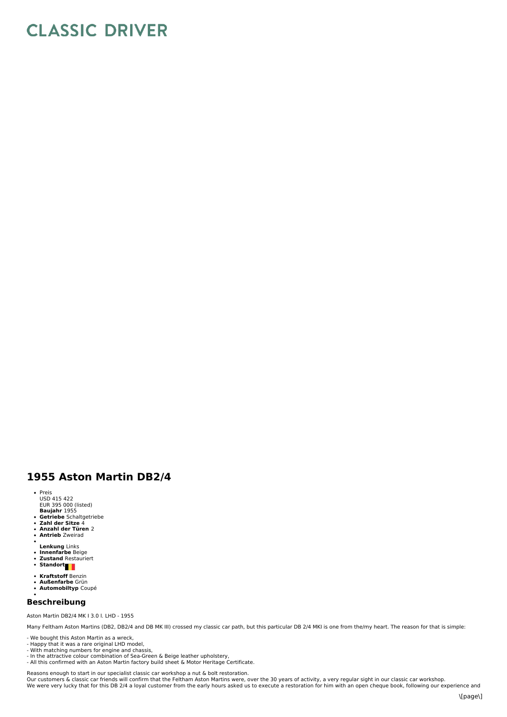## **CLASSIC DRIVER**

## **1955 Aston Martin DB2/4**

- Preis<br>USD 415 422<br>EUR 395 000 (listed)
- 
- **Baujahr** 1955 **Getriebe** Schaltgetriebe **Zahl der Sitze** 4 **Anzahl der Türen** 2
- 
- $\overline{a}$ **Antrieb** Zweirad
- 
- **Lenkung** Links **Innenfarbe** Beige  $\bullet$
- **Zustand** Restauriert **Standort**
- 
- **Kraftstoff** Benzin
- $\ddot{\phantom{0}}$ **Außenfarbe** Grün **Automobiltyp** Coupé
- 

## **Beschreibung**

Aston Martin DB2/4 MK I3.0 l. LHD -1955

Many Feltham Aston Martins (DB2, DB2/4 and DB MK III) crossed my classic car path, but this particular DB 2/4 MKI is one from the/my heart. The reason for that is simple:

- We bought this Aston Martin as a wreck,
- 
- Happy that it was a rare original LHD model, With matching numbers for engine and chassis,
- In the attractive colour combination of Sea-Green & Beige leather upholstery, All this confirmed with an Aston Martin factory build sheet & Motor Heritage Certificate.

Reasons enough to start in our specialist classic car workshop a nut & bolt restoration.<br>Our customers & classic car friends will confirm that the Feltham Aston Martins were, over the 30 years of activity, a very regular s